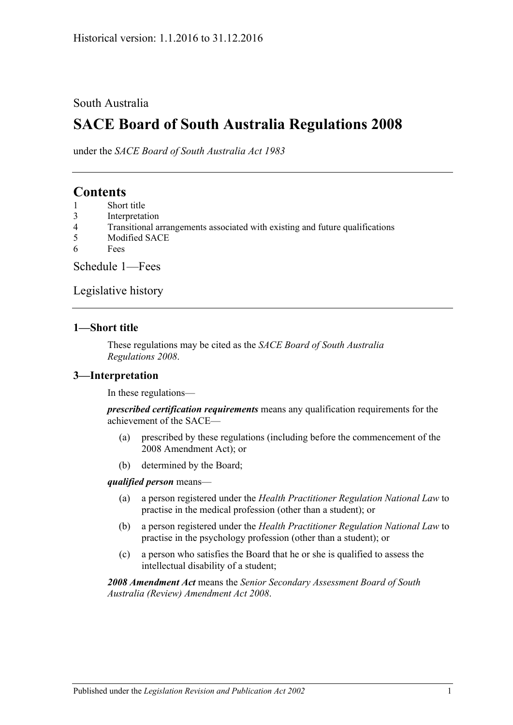### South Australia

# **SACE Board of South Australia Regulations 2008**

under the *SACE Board of South Australia Act 1983*

## **Contents**

- 1 [Short title](#page-0-0)
- 3 [Interpretation](#page-0-1)
- 4 [Transitional arrangements associated with existing and future qualifications](#page-1-0)
- 5 [Modified SACE](#page-1-1)
- 6 [Fees](#page-1-2)

[Schedule 1—Fees](#page-1-3)

[Legislative history](#page-4-0)

### <span id="page-0-0"></span>**1—Short title**

These regulations may be cited as the *SACE Board of South Australia Regulations 2008*.

### <span id="page-0-1"></span>**3—Interpretation**

In these regulations—

*prescribed certification requirements* means any qualification requirements for the achievement of the SACE—

- (a) prescribed by these regulations (including before the commencement of the 2008 Amendment Act); or
- (b) determined by the Board;

#### *qualified person* means—

- (a) a person registered under the *[Health Practitioner Regulation National Law](http://www.legislation.sa.gov.au/index.aspx?action=legref&type=act&legtitle=Health%20Practitioner%20Regulation%20National%20Law)* to practise in the medical profession (other than a student); or
- (b) a person registered under the *[Health Practitioner Regulation National Law](http://www.legislation.sa.gov.au/index.aspx?action=legref&type=act&legtitle=Health%20Practitioner%20Regulation%20National%20Law)* to practise in the psychology profession (other than a student); or
- (c) a person who satisfies the Board that he or she is qualified to assess the intellectual disability of a student;

*2008 Amendment Act* means the *[Senior Secondary Assessment Board of South](http://www.legislation.sa.gov.au/index.aspx?action=legref&type=act&legtitle=Senior%20Secondary%20Assessment%20Board%20of%20South%20Australia%20(Review)%20Amendment%20Act%202008)  [Australia \(Review\) Amendment Act](http://www.legislation.sa.gov.au/index.aspx?action=legref&type=act&legtitle=Senior%20Secondary%20Assessment%20Board%20of%20South%20Australia%20(Review)%20Amendment%20Act%202008) 2008*.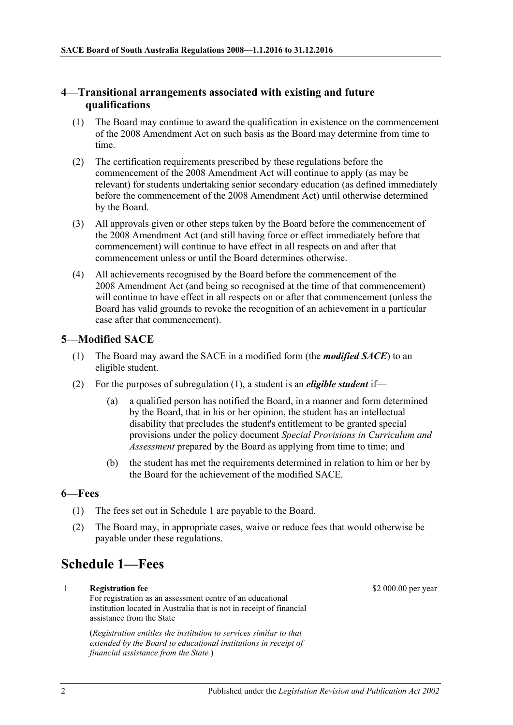### <span id="page-1-0"></span>**4—Transitional arrangements associated with existing and future qualifications**

- (1) The Board may continue to award the qualification in existence on the commencement of the 2008 Amendment Act on such basis as the Board may determine from time to time.
- (2) The certification requirements prescribed by these regulations before the commencement of the 2008 Amendment Act will continue to apply (as may be relevant) for students undertaking senior secondary education (as defined immediately before the commencement of the 2008 Amendment Act) until otherwise determined by the Board.
- (3) All approvals given or other steps taken by the Board before the commencement of the 2008 Amendment Act (and still having force or effect immediately before that commencement) will continue to have effect in all respects on and after that commencement unless or until the Board determines otherwise.
- (4) All achievements recognised by the Board before the commencement of the 2008 Amendment Act (and being so recognised at the time of that commencement) will continue to have effect in all respects on or after that commencement (unless the Board has valid grounds to revoke the recognition of an achievement in a particular case after that commencement).

### <span id="page-1-4"></span><span id="page-1-1"></span>**5—Modified SACE**

- (1) The Board may award the SACE in a modified form (the *modified SACE*) to an eligible student.
- (2) For the purposes of [subregulation](#page-1-4) (1), a student is an *eligible student* if—
	- (a) a qualified person has notified the Board, in a manner and form determined by the Board, that in his or her opinion, the student has an intellectual disability that precludes the student's entitlement to be granted special provisions under the policy document *Special Provisions in Curriculum and Assessment* prepared by the Board as applying from time to time; and
	- (b) the student has met the requirements determined in relation to him or her by the Board for the achievement of the modified SACE.

### <span id="page-1-2"></span>**6—Fees**

- (1) The fees set out in [Schedule 1](#page-1-3) are payable to the Board.
- (2) The Board may, in appropriate cases, waive or reduce fees that would otherwise be payable under these regulations.

# <span id="page-1-3"></span>**Schedule 1—Fees**

1 **Registration fee** For registration as an assessment centre of an educational institution located in Australia that is not in receipt of financial assistance from the State

> (*Registration entitles the institution to services similar to that extended by the Board to educational institutions in receipt of financial assistance from the State.*)

\$2 000.00 per year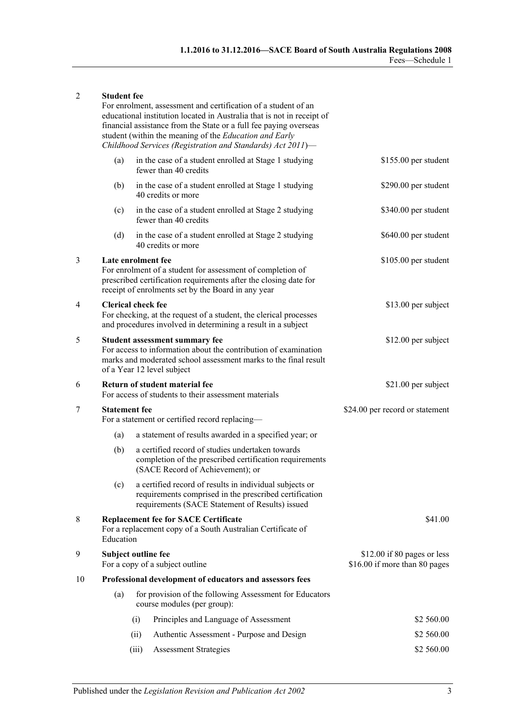#### 2 **Student fee**

|    | For enrolment, assessment and certification of a student of an<br>educational institution located in Australia that is not in receipt of<br>financial assistance from the State or a full fee paying overseas<br>student (within the meaning of the Education and Early<br>Childhood Services (Registration and Standards) Act 2011)- |                                                                        |                                                                                                                                                                          |                                                              |
|----|---------------------------------------------------------------------------------------------------------------------------------------------------------------------------------------------------------------------------------------------------------------------------------------------------------------------------------------|------------------------------------------------------------------------|--------------------------------------------------------------------------------------------------------------------------------------------------------------------------|--------------------------------------------------------------|
|    | (a)                                                                                                                                                                                                                                                                                                                                   |                                                                        | in the case of a student enrolled at Stage 1 studying<br>fewer than 40 credits                                                                                           | \$155.00 per student                                         |
|    | (b)                                                                                                                                                                                                                                                                                                                                   |                                                                        | in the case of a student enrolled at Stage 1 studying<br>40 credits or more                                                                                              | \$290.00 per student                                         |
|    | (c)                                                                                                                                                                                                                                                                                                                                   |                                                                        | in the case of a student enrolled at Stage 2 studying<br>fewer than 40 credits                                                                                           | \$340.00 per student                                         |
|    | (d)                                                                                                                                                                                                                                                                                                                                   |                                                                        | in the case of a student enrolled at Stage 2 studying<br>40 credits or more                                                                                              | \$640.00 per student                                         |
| 3  | Late enrolment fee<br>For enrolment of a student for assessment of completion of<br>prescribed certification requirements after the closing date for<br>receipt of enrolments set by the Board in any year                                                                                                                            |                                                                        |                                                                                                                                                                          | \$105.00 per student                                         |
| 4  | <b>Clerical check fee</b><br>For checking, at the request of a student, the clerical processes<br>and procedures involved in determining a result in a subject                                                                                                                                                                        |                                                                        |                                                                                                                                                                          | \$13.00 per subject                                          |
| 5  | <b>Student assessment summary fee</b><br>For access to information about the contribution of examination<br>marks and moderated school assessment marks to the final result<br>of a Year 12 level subject                                                                                                                             |                                                                        |                                                                                                                                                                          | \$12.00 per subject                                          |
| 6  | Return of student material fee<br>For access of students to their assessment materials                                                                                                                                                                                                                                                |                                                                        |                                                                                                                                                                          | \$21.00 per subject                                          |
| 7  |                                                                                                                                                                                                                                                                                                                                       | <b>Statement fee</b><br>For a statement or certified record replacing- |                                                                                                                                                                          | \$24.00 per record or statement                              |
|    | (a)                                                                                                                                                                                                                                                                                                                                   |                                                                        | a statement of results awarded in a specified year; or                                                                                                                   |                                                              |
|    | (b)                                                                                                                                                                                                                                                                                                                                   |                                                                        | a certified record of studies undertaken towards<br>completion of the prescribed certification requirements<br>(SACE Record of Achievement); or                          |                                                              |
|    |                                                                                                                                                                                                                                                                                                                                       |                                                                        | (c) a certified record of results in individual subjects or<br>requirements comprised in the prescribed certification<br>requirements (SACE Statement of Results) issued |                                                              |
| 8  | <b>Replacement fee for SACE Certificate</b><br>For a replacement copy of a South Australian Certificate of<br>Education                                                                                                                                                                                                               |                                                                        |                                                                                                                                                                          | \$41.00                                                      |
| 9  | Subject outline fee<br>For a copy of a subject outline                                                                                                                                                                                                                                                                                |                                                                        |                                                                                                                                                                          | \$12.00 if 80 pages or less<br>\$16.00 if more than 80 pages |
| 10 |                                                                                                                                                                                                                                                                                                                                       |                                                                        | Professional development of educators and assessors fees                                                                                                                 |                                                              |
|    | (a)                                                                                                                                                                                                                                                                                                                                   |                                                                        | for provision of the following Assessment for Educators<br>course modules (per group):                                                                                   |                                                              |
|    |                                                                                                                                                                                                                                                                                                                                       | (i)                                                                    | Principles and Language of Assessment                                                                                                                                    | \$2 560.00                                                   |
|    |                                                                                                                                                                                                                                                                                                                                       | (ii)                                                                   | Authentic Assessment - Purpose and Design                                                                                                                                | \$2 560.00                                                   |
|    |                                                                                                                                                                                                                                                                                                                                       | (iii)                                                                  | <b>Assessment Strategies</b>                                                                                                                                             | \$2 560.00                                                   |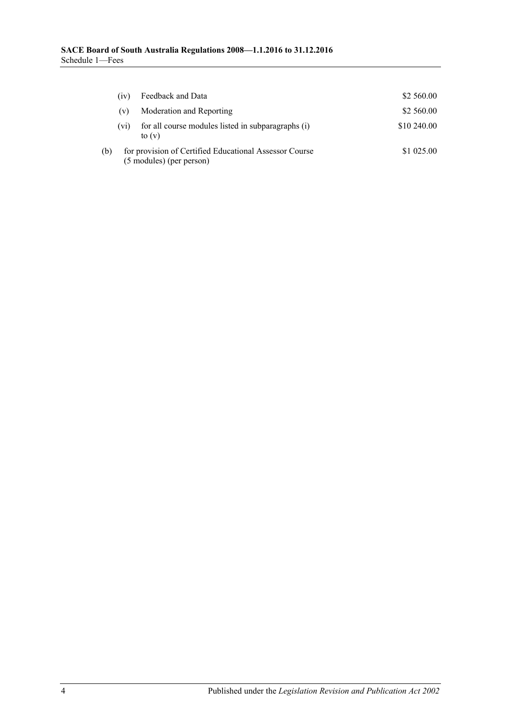|     | (1V)              | Feedback and Data                                                                  | \$2 560.00  |
|-----|-------------------|------------------------------------------------------------------------------------|-------------|
|     | (v)               | Moderation and Reporting                                                           | \$2 560.00  |
|     | (v <sub>i</sub> ) | for all course modules listed in subparagraphs (i)<br>to $(v)$                     | \$10 240.00 |
| (b) |                   | for provision of Certified Educational Assessor Course<br>(5 modules) (per person) | \$1 025.00  |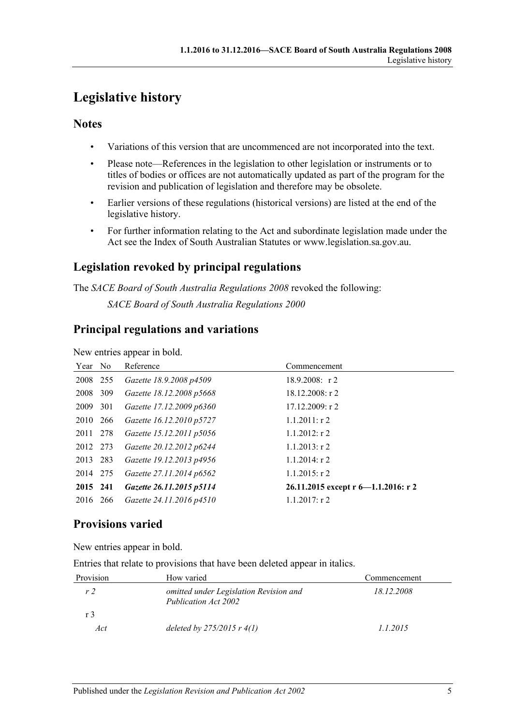# <span id="page-4-0"></span>**Legislative history**

### **Notes**

- Variations of this version that are uncommenced are not incorporated into the text.
- Please note—References in the legislation to other legislation or instruments or to titles of bodies or offices are not automatically updated as part of the program for the revision and publication of legislation and therefore may be obsolete.
- Earlier versions of these regulations (historical versions) are listed at the end of the legislative history.
- For further information relating to the Act and subordinate legislation made under the Act see the Index of South Australian Statutes or www.legislation.sa.gov.au.

## **Legislation revoked by principal regulations**

The *SACE Board of South Australia Regulations 2008* revoked the following: *SACE Board of South Australia Regulations 2000*

## **Principal regulations and variations**

New entries appear in bold.

| Year No  |     | Reference                | Commencement                        |
|----------|-----|--------------------------|-------------------------------------|
| 2008 255 |     | Gazette 18.9.2008 p4509  | $18.9.2008$ : r2                    |
| 2008     | 309 | Gazette 18.12.2008 p5668 | $18.12.2008:$ r 2                   |
| 2009     | 301 | Gazette 17.12.2009 p6360 | 17.12.2009: r2                      |
| 2010 266 |     | Gazette 16.12.2010 p5727 | $1.1.2011:$ r 2                     |
| 2011 278 |     | Gazette 15.12.2011 p5056 | $1.1.2012:$ r 2                     |
| 2012 273 |     | Gazette 20.12.2012 p6244 | $1.1.2013$ : r 2                    |
| 2013 283 |     | Gazette 19.12.2013 p4956 | $1.1.2014$ : r 2                    |
| 2014 275 |     | Gazette 27.11.2014 p6562 | $1.1.2015$ : r 2                    |
| 2015 241 |     | Gazette 26.11.2015 p5114 | 26.11.2015 except r 6-1.1.2016: r 2 |
| 2016 266 |     | Gazette 24.11.2016 p4510 | $1.1.2017$ : r 2                    |

## **Provisions varied**

New entries appear in bold.

Entries that relate to provisions that have been deleted appear in italics.

| Provision      | How varied                                                     | Commencement |
|----------------|----------------------------------------------------------------|--------------|
| r <sub>2</sub> | omitted under Legislation Revision and<br>Publication Act 2002 | 18.12.2008   |
| r <sup>3</sup> |                                                                |              |
| Act            | deleted by $275/2015$ r $4(1)$                                 | 1.1.2015     |